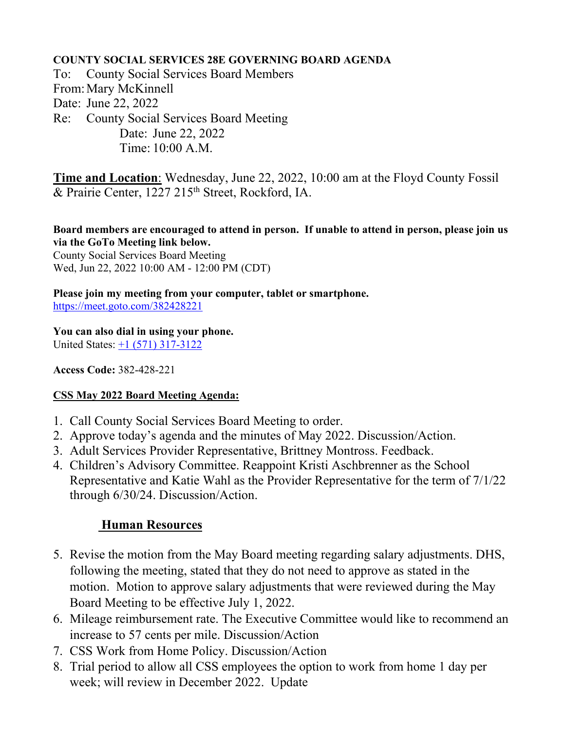#### **COUNTY SOCIAL SERVICES 28E GOVERNING BOARD AGENDA**

To: County Social Services Board Members From:Mary McKinnell Date: June 22, 2022 Re: County Social Services Board Meeting Date: June 22, 2022 Time: 10:00 A.M.

**Time and Location**: Wednesday, June 22, 2022, 10:00 am at the Floyd County Fossil & Prairie Center, 1227 215<sup>th</sup> Street, Rockford, IA.

**Board members are encouraged to attend in person. If unable to attend in person, please join us via the GoTo Meeting link below.** 

County Social Services Board Meeting Wed, Jun 22, 2022 10:00 AM - 12:00 PM (CDT)

### **Please join my meeting from your computer, tablet or smartphone.**

<https://meet.goto.com/382428221>

**You can also dial in using your phone.**

United States:  $\pm 1$  (571) 317-3122

**Access Code:** 382-428-221

#### **CSS May 2022 Board Meeting Agenda:**

- 1. Call County Social Services Board Meeting to order.
- 2. Approve today's agenda and the minutes of May 2022. Discussion/Action.
- 3. Adult Services Provider Representative, Brittney Montross. Feedback.
- 4. Children's Advisory Committee. Reappoint Kristi Aschbrenner as the School Representative and Katie Wahl as the Provider Representative for the term of 7/1/22 through 6/30/24. Discussion/Action.

## **Human Resources**

- 5. Revise the motion from the May Board meeting regarding salary adjustments. DHS, following the meeting, stated that they do not need to approve as stated in the motion. Motion to approve salary adjustments that were reviewed during the May Board Meeting to be effective July 1, 2022.
- 6. Mileage reimbursement rate. The Executive Committee would like to recommend an increase to 57 cents per mile. Discussion/Action
- 7. CSS Work from Home Policy. Discussion/Action
- 8. Trial period to allow all CSS employees the option to work from home 1 day per week; will review in December 2022. Update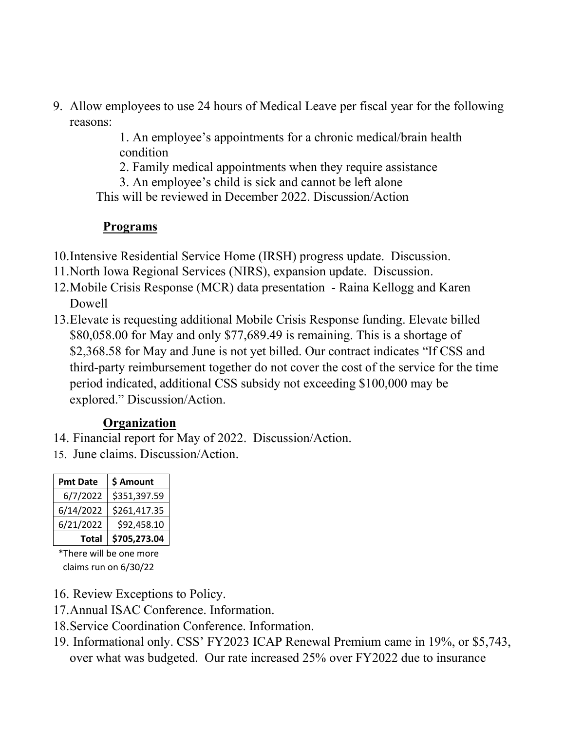9. Allow employees to use 24 hours of Medical Leave per fiscal year for the following reasons:

> 1. An employee's appointments for a chronic medical/brain health condition

2. Family medical appointments when they require assistance

3. An employee's child is sick and cannot be left alone

This will be reviewed in December 2022. Discussion/Action

## **Programs**

10.Intensive Residential Service Home (IRSH) progress update. Discussion.

- 11.North Iowa Regional Services (NIRS), expansion update. Discussion.
- 12.Mobile Crisis Response (MCR) data presentation Raina Kellogg and Karen Dowell
- 13.Elevate is requesting additional Mobile Crisis Response funding. Elevate billed \$80,058.00 for May and only \$77,689.49 is remaining. This is a shortage of \$2,368.58 for May and June is not yet billed. Our contract indicates "If CSS and third-party reimbursement together do not cover the cost of the service for the time period indicated, additional CSS subsidy not exceeding \$100,000 may be explored." Discussion/Action.

# **Organization**

- 14. Financial report for May of 2022. Discussion/Action.
- 15. June claims. Discussion/Action.

| <b>Pmt Date</b> | \$ Amount    |
|-----------------|--------------|
| 6/7/2022        | \$351,397.59 |
| 6/14/2022       | \$261,417.35 |
| 6/21/2022       | \$92,458.10  |
| Total           | \$705,273.04 |

\*There will be one more claims run on 6/30/22

- 16. Review Exceptions to Policy.
- 17.Annual ISAC Conference. Information.
- 18.Service Coordination Conference. Information.
- 19. Informational only. CSS' FY2023 ICAP Renewal Premium came in 19%, or \$5,743, over what was budgeted. Our rate increased 25% over FY2022 due to insurance